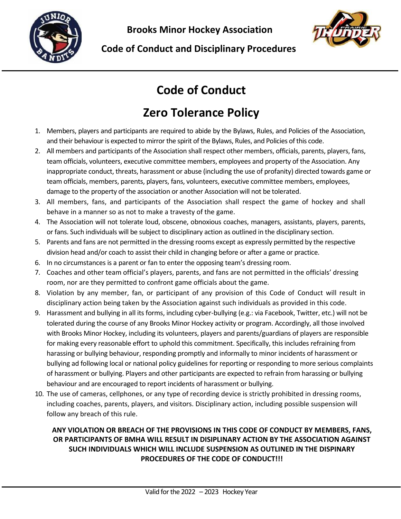



# **Code of Conduct**

# **Zero Tolerance Policy**

- 1. Members, players and participants are required to abide by the Bylaws, Rules, and Policies of the Association, and their behaviour is expected to mirror the spirit of the Bylaws, Rules, and Policies of this code.
- 2. All members and participants of the Association shall respect other members, officials, parents, players, fans, team officials, volunteers, executive committee members, employees and property of the Association. Any inappropriate conduct, threats, harassment or abuse (including the use of profanity) directed towards game or team officials, members, parents, players, fans, volunteers, executive committee members, employees, damage to the property of the association or another Association will not be tolerated.
- 3. All members, fans, and participants of the Association shall respect the game of hockey and shall behave in a manner so as not to make a travesty of the game.
- 4. The Association will not tolerate loud, obscene, obnoxious coaches, managers, assistants, players, parents, or fans. Such individuals will be subject to disciplinary action as outlined in the disciplinary section.
- 5. Parents and fans are not permitted in the dressing rooms except as expressly permitted by the respective division head and/or coach to assist their child in changing before or after a game or practice.
- 6. In no circumstances is a parent or fan to enter the opposing team's dressing room.
- 7. Coaches and other team official's players, parents, and fans are not permitted in the officials' dressing room, nor are they permitted to confront game officials about the game.
- 8. Violation by any member, fan, or participant of any provision of this Code of Conduct will result in disciplinary action being taken by the Association against such individuals as provided in this code.
- 9. Harassment and bullying in all its forms, including cyber-bullying (e.g.: via Facebook, Twitter, etc.) will not be tolerated during the course of any Brooks Minor Hockey activity or program. Accordingly, all those involved with Brooks Minor Hockey, including its volunteers, players and parents/guardians of players are responsible for making every reasonable effort to uphold this commitment. Specifically, this includes refraining from harassing or bullying behaviour, responding promptly and informally to minor incidents of harassment or bullying ad following local or national policy guidelines for reporting or responding to more serious complaints of harassment or bullying. Players and other participants are expected to refrain from harassing or bullying behaviour and are encouraged to report incidents of harassment or bullying.
- 10. The use of cameras, cellphones, or any type of recording device is strictly prohibited in dressing rooms, including coaches, parents, players, and visitors. Disciplinary action, including possible suspension will follow any breach of this rule.

#### **ANY VIOLATION OR BREACH OF THE PROVISIONS IN THIS CODE OF CONDUCT BY MEMBERS, FANS, OR PARTICIPANTS OF BMHA WILL RESULT IN DISIPLINARY ACTION BY THE ASSOCIATION AGAINST SUCH INDIVIDUALS WHICH WILL INCLUDE SUSPENSION AS OUTLINED IN THE DISPINARY PROCEDURES OF THE CODE OF CONDUCT!!!**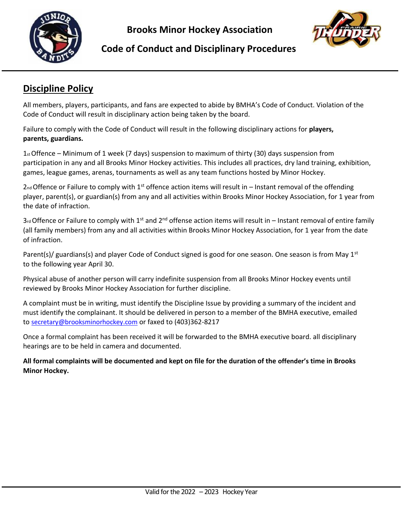

**Brooks Minor Hockey Association**



#### **Code of Conduct and Disciplinary Procedures**

## **Discipline Policy**

All members, players, participants, and fans are expected to abide by BMHA's Code of Conduct. Violation of the Code of Conduct will result in disciplinary action being taken by the board.

Failure to comply with the Code of Conduct will result in the following disciplinary actions for **players, parents, guardians.**

 $1_{\text{st}}$  Offence – Minimum of 1 week (7 days) suspension to maximum of thirty (30) days suspension from participation in any and all Brooks Minor Hockey activities. This includes all practices, dry land training, exhibition, games, league games, arenas, tournaments as well as any team functions hosted by Minor Hockey.

 $2<sub>nd</sub>$  Offence or Failure to comply with 1<sup>st</sup> offence action items will result in – Instant removal of the offending player, parent(s), or guardian(s) from any and all activities within Brooks Minor Hockey Association, for 1 year from the date of infraction.

 $3$ <sup>rd</sup> Offence or Failure to comply with 1<sup>st</sup> and 2<sup>nd</sup> offense action items will result in – Instant removal of entire family (all family members) from any and all activities within Brooks Minor Hockey Association, for 1 year from the date of infraction.

Parent(s)/ guardians(s) and player Code of Conduct signed is good for one season. One season is from May  $1<sup>st</sup>$ to the following year April 30.

Physical abuse of another person will carry indefinite suspension from all Brooks Minor Hockey events until reviewed by Brooks Minor Hockey Association for further discipline.

A complaint must be in writing, must identify the Discipline Issue by providing a summary of the incident and must identify the complainant. It should be delivered in person to a member of the BMHA executive, emailed to [secretary@brooksminorhockey.com](mailto:secretary@brooksminorhockey.com) or faxed to (403)362-8217

Once a formal complaint has been received it will be forwarded to the BMHA executive board. all disciplinary hearings are to be held in camera and documented.

**All formal complaints will be documented and kept on file for the duration of the offender's time in Brooks Minor Hockey.**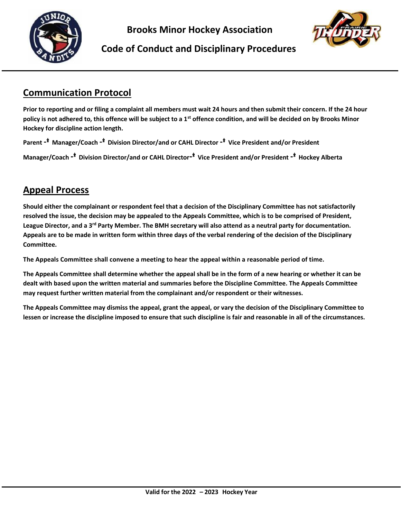

**Brooks Minor Hockey Association**



#### **Code of Conduct and Disciplinary Procedures**

### **Communication Protocol**

**Prior to reporting and or filing a complaint all members must wait 24 hours and then submit their concern. If the 24 hour policy is not adhered to, this offence will be subject to a 1st offence condition, and will be decided on by Brooks Minor Hockey for discipline action length.**

**Parent** -\* **Manager/Coach** -\* **Division Director/and or CAHL Director** -\* **Vice President and/or President Manager/Coach** -\* **Division Director/and or CAHL Director**-\* **Vice President and/or President** -\* **Hockey Alberta**

### **Appeal Process**

**Should either the complainant or respondent feel that a decision of the Disciplinary Committee has not satisfactorily resolved the issue, the decision may be appealed to the Appeals Committee, which is to be comprised of President, League Director, and a 3rd Party Member. The BMH secretary will also attend as a neutral party for documentation. Appeals are to be made in written form within three days of the verbal rendering of the decision of the Disciplinary Committee.**

**The Appeals Committee shall convene a meeting to hear the appeal within a reasonable period of time.**

**The Appeals Committee shall determine whether the appeal shall be in the form of a new hearing or whether it can be dealt with based upon the written material and summaries before the Discipline Committee. The Appeals Committee may request further written material from the complainant and/or respondent or their witnesses.**

**The Appeals Committee may dismiss the appeal, grant the appeal, or vary the decision of the Disciplinary Committee to lessen or increase the discipline imposed to ensure that such discipline is fair and reasonable in all of the circumstances.**